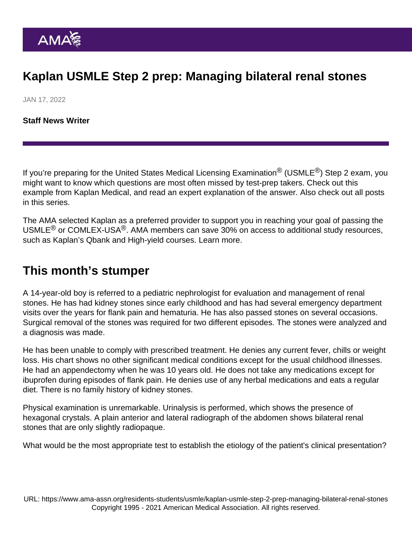# Kaplan USMLE Step 2 prep: Managing bilateral renal stones

JAN 17, 2022

[Staff News Writer](https://www.ama-assn.org/news-leadership-viewpoints/authors-news-leadership-viewpoints/staff-news-writer)

If you're preparing for the United States Medical Licensing Examination<sup>®</sup> (USMLE<sup>®</sup>) Step 2 exam, you might want to know which questions are most often missed by test-prep takers. Check out this example from Kaplan Medical, and read an expert explanation of the answer. Also check out [all posts](https://www.ama-assn.org/series/kaplan-usmle-step-2-prep-questions) [in this series.](https://www.ama-assn.org/series/kaplan-usmle-step-2-prep-questions)

The AMA selected Kaplan as a preferred provider to support you in reaching your goal of passing the USMLE<sup>®</sup> or COMLEX-USA<sup>®</sup>. AMA members can save 30% on access to additional study resources, such as Kaplan's Qbank and High-yield courses. [Learn more.](https://www.ama-assn.org/ama-member-benefits/individual-member-benefits/educational-student-discounts)

## This month's stumper

A 14-year-old boy is referred to a pediatric nephrologist for evaluation and management of renal stones. He has had kidney stones since early childhood and has had several emergency department visits over the years for flank pain and hematuria. He has also passed stones on several occasions. Surgical removal of the stones was required for two different episodes. The stones were analyzed and a diagnosis was made.

He has been unable to comply with prescribed treatment. He denies any current fever, chills or weight loss. His chart shows no other significant medical conditions except for the usual childhood illnesses. He had an appendectomy when he was 10 years old. He does not take any medications except for ibuprofen during episodes of flank pain. He denies use of any herbal medications and eats a regular diet. There is no family history of kidney stones.

Physical examination is unremarkable. Urinalysis is performed, which shows the presence of hexagonal crystals. A plain anterior and lateral radiograph of the abdomen shows bilateral renal stones that are only slightly radiopaque.

What would be the most appropriate test to establish the etiology of the patient's clinical presentation?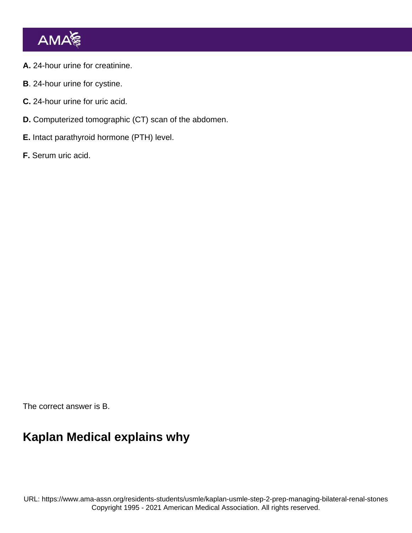- A. 24-hour urine for creatinine.
- B. 24-hour urine for cystine.
- C. 24-hour urine for uric acid.
- D. Computerized tomographic (CT) scan of the abdomen.
- E. Intact parathyroid hormone (PTH) level.
- F. Serum uric acid.

The correct answer is B.

# Kaplan Medical explains why